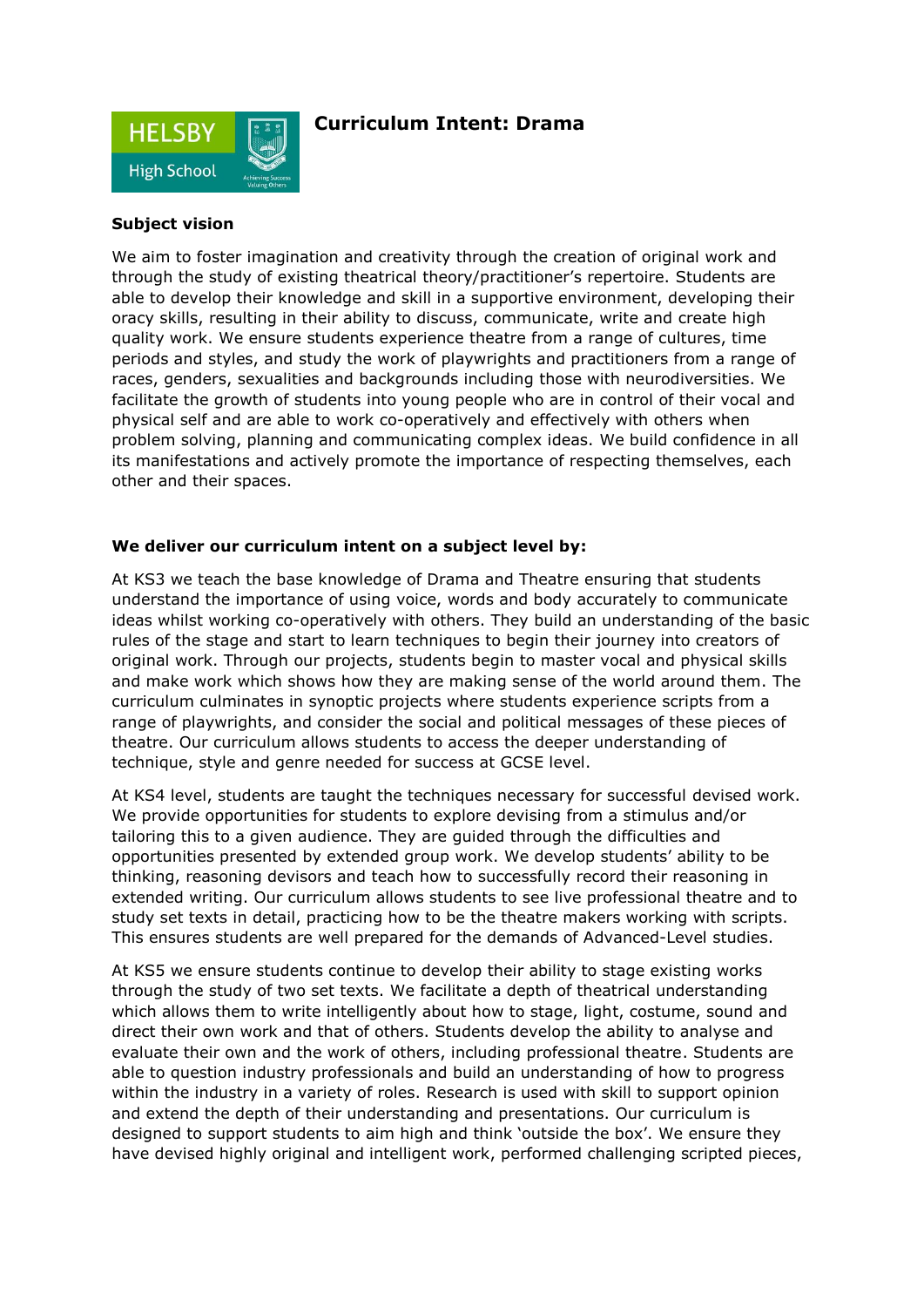

# **Curriculum Intent: Drama**

## **Subject vision**

We aim to foster imagination and creativity through the creation of original work and through the study of existing theatrical theory/practitioner's repertoire. Students are able to develop their knowledge and skill in a supportive environment, developing their oracy skills, resulting in their ability to discuss, communicate, write and create high quality work. We ensure students experience theatre from a range of cultures, time periods and styles, and study the work of playwrights and practitioners from a range of races, genders, sexualities and backgrounds including those with neurodiversities. We facilitate the growth of students into young people who are in control of their vocal and physical self and are able to work co-operatively and effectively with others when problem solving, planning and communicating complex ideas. We build confidence in all its manifestations and actively promote the importance of respecting themselves, each other and their spaces.

#### **We deliver our curriculum intent on a subject level by:**

At KS3 we teach the base knowledge of Drama and Theatre ensuring that students understand the importance of using voice, words and body accurately to communicate ideas whilst working co-operatively with others. They build an understanding of the basic rules of the stage and start to learn techniques to begin their journey into creators of original work. Through our projects, students begin to master vocal and physical skills and make work which shows how they are making sense of the world around them. The curriculum culminates in synoptic projects where students experience scripts from a range of playwrights, and consider the social and political messages of these pieces of theatre. Our curriculum allows students to access the deeper understanding of technique, style and genre needed for success at GCSE level.

At KS4 level, students are taught the techniques necessary for successful devised work. We provide opportunities for students to explore devising from a stimulus and/or tailoring this to a given audience. They are guided through the difficulties and opportunities presented by extended group work. We develop students' ability to be thinking, reasoning devisors and teach how to successfully record their reasoning in extended writing. Our curriculum allows students to see live professional theatre and to study set texts in detail, practicing how to be the theatre makers working with scripts. This ensures students are well prepared for the demands of Advanced-Level studies.

At KS5 we ensure students continue to develop their ability to stage existing works through the study of two set texts. We facilitate a depth of theatrical understanding which allows them to write intelligently about how to stage, light, costume, sound and direct their own work and that of others. Students develop the ability to analyse and evaluate their own and the work of others, including professional theatre. Students are able to question industry professionals and build an understanding of how to progress within the industry in a variety of roles. Research is used with skill to support opinion and extend the depth of their understanding and presentations. Our curriculum is designed to support students to aim high and think 'outside the box'. We ensure they have devised highly original and intelligent work, performed challenging scripted pieces,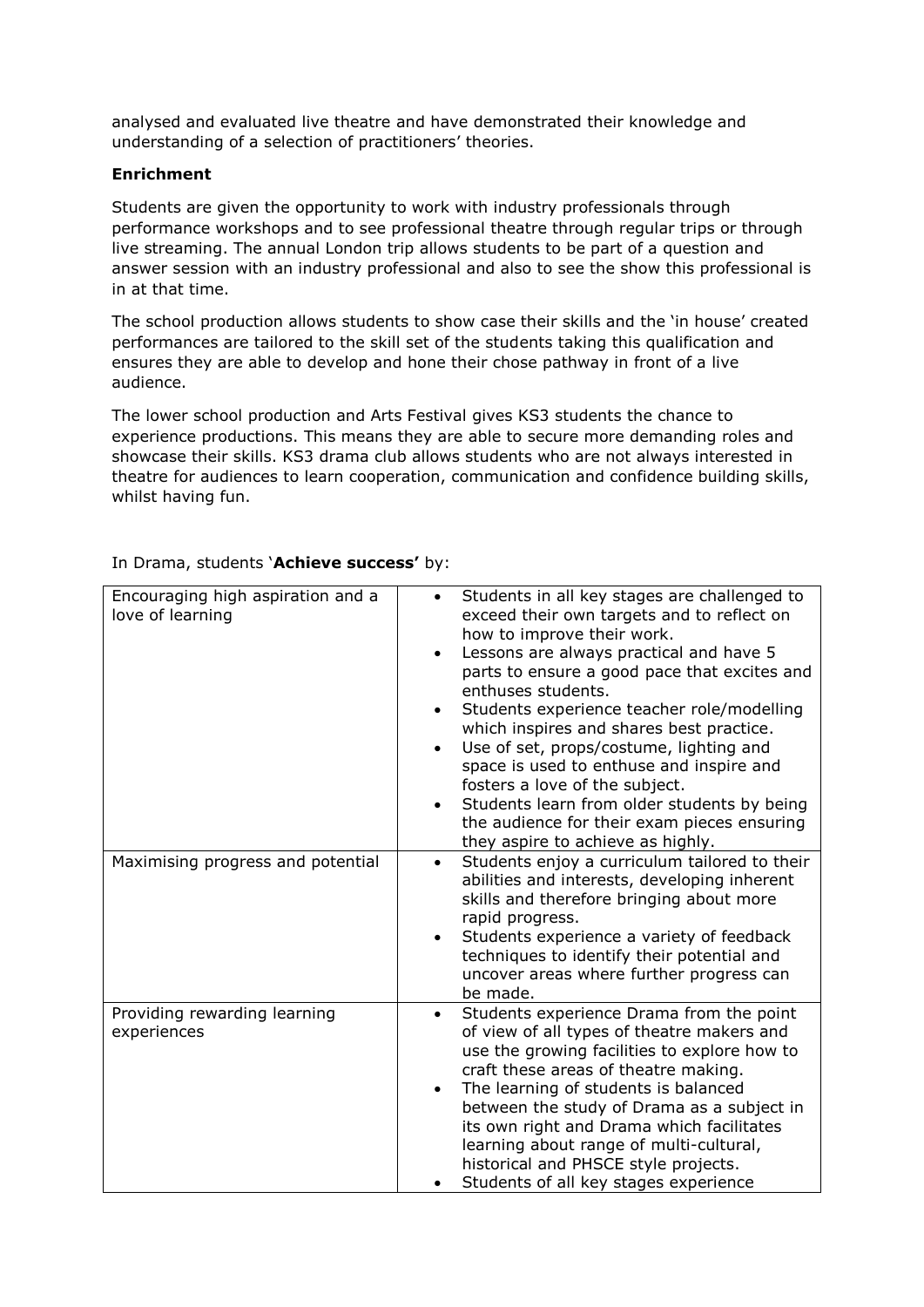analysed and evaluated live theatre and have demonstrated their knowledge and understanding of a selection of practitioners' theories.

## **Enrichment**

Students are given the opportunity to work with industry professionals through performance workshops and to see professional theatre through regular trips or through live streaming. The annual London trip allows students to be part of a question and answer session with an industry professional and also to see the show this professional is in at that time.

The school production allows students to show case their skills and the 'in house' created performances are tailored to the skill set of the students taking this qualification and ensures they are able to develop and hone their chose pathway in front of a live audience.

The lower school production and Arts Festival gives KS3 students the chance to experience productions. This means they are able to secure more demanding roles and showcase their skills. KS3 drama club allows students who are not always interested in theatre for audiences to learn cooperation, communication and confidence building skills, whilst having fun.

| Encouraging high aspiration and a<br>love of learning | Students in all key stages are challenged to<br>exceed their own targets and to reflect on<br>how to improve their work.<br>Lessons are always practical and have 5<br>$\bullet$<br>parts to ensure a good pace that excites and<br>enthuses students.<br>Students experience teacher role/modelling<br>which inspires and shares best practice.<br>Use of set, props/costume, lighting and<br>space is used to enthuse and inspire and<br>fosters a love of the subject.<br>Students learn from older students by being<br>the audience for their exam pieces ensuring<br>they aspire to achieve as highly. |
|-------------------------------------------------------|--------------------------------------------------------------------------------------------------------------------------------------------------------------------------------------------------------------------------------------------------------------------------------------------------------------------------------------------------------------------------------------------------------------------------------------------------------------------------------------------------------------------------------------------------------------------------------------------------------------|
| Maximising progress and potential                     | Students enjoy a curriculum tailored to their<br>٠<br>abilities and interests, developing inherent<br>skills and therefore bringing about more<br>rapid progress.<br>Students experience a variety of feedback<br>techniques to identify their potential and<br>uncover areas where further progress can<br>be made.                                                                                                                                                                                                                                                                                         |
| Providing rewarding learning<br>experiences           | Students experience Drama from the point<br>$\bullet$<br>of view of all types of theatre makers and<br>use the growing facilities to explore how to<br>craft these areas of theatre making.<br>The learning of students is balanced<br>between the study of Drama as a subject in<br>its own right and Drama which facilitates<br>learning about range of multi-cultural,<br>historical and PHSCE style projects.<br>Students of all key stages experience                                                                                                                                                   |

#### In Drama, students '**Achieve success'** by: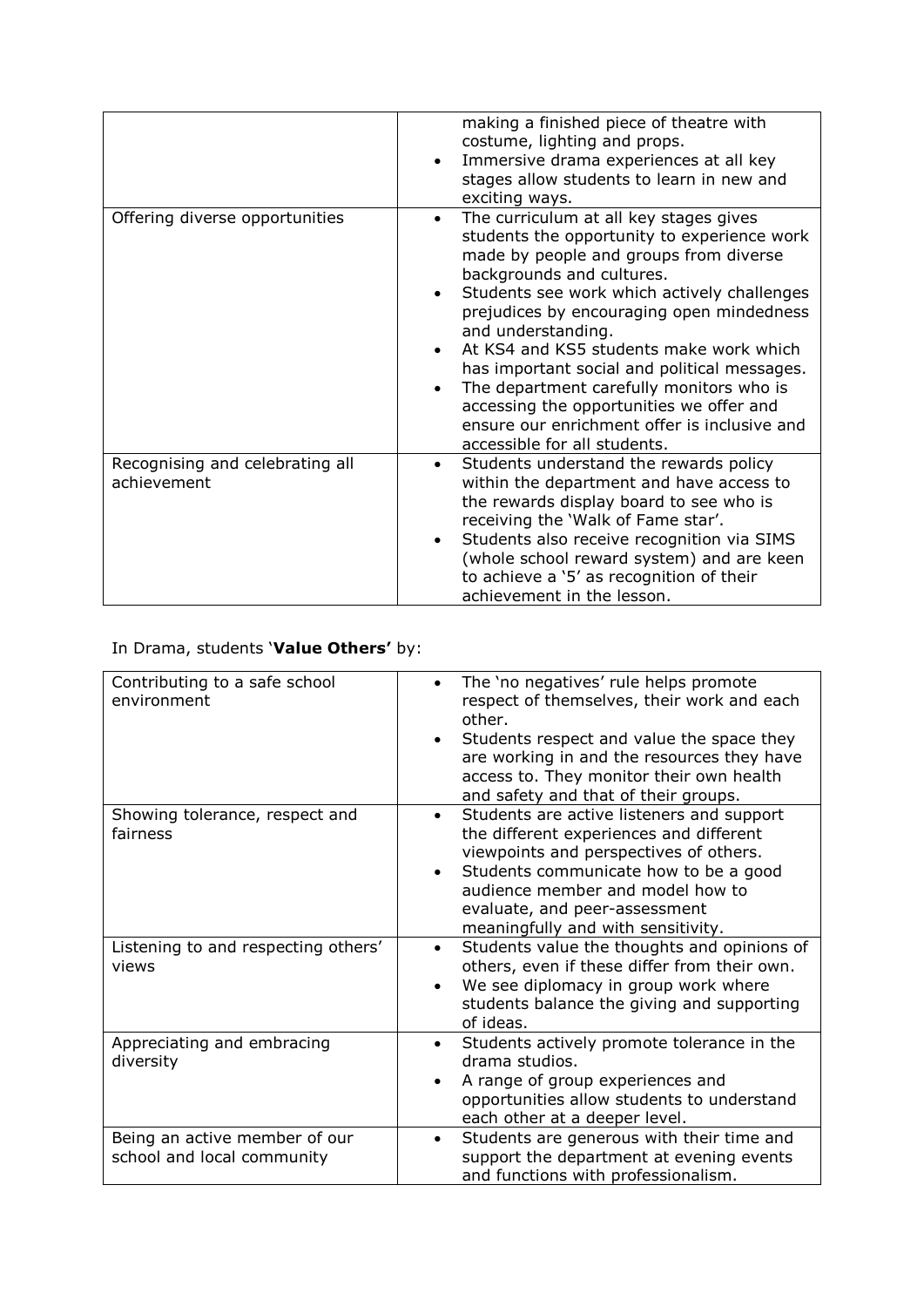|                                                | making a finished piece of theatre with<br>costume, lighting and props.<br>Immersive drama experiences at all key<br>stages allow students to learn in new and<br>exciting ways.                                                                                                                                                                                                                                                                                                                                                                  |
|------------------------------------------------|---------------------------------------------------------------------------------------------------------------------------------------------------------------------------------------------------------------------------------------------------------------------------------------------------------------------------------------------------------------------------------------------------------------------------------------------------------------------------------------------------------------------------------------------------|
| Offering diverse opportunities                 | The curriculum at all key stages gives<br>students the opportunity to experience work<br>made by people and groups from diverse<br>backgrounds and cultures.<br>Students see work which actively challenges<br>prejudices by encouraging open mindedness<br>and understanding.<br>At KS4 and KS5 students make work which<br>has important social and political messages.<br>The department carefully monitors who is<br>accessing the opportunities we offer and<br>ensure our enrichment offer is inclusive and<br>accessible for all students. |
| Recognising and celebrating all<br>achievement | Students understand the rewards policy<br>within the department and have access to<br>the rewards display board to see who is<br>receiving the 'Walk of Fame star'.<br>Students also receive recognition via SIMS<br>$\bullet$<br>(whole school reward system) and are keen<br>to achieve a '5' as recognition of their<br>achievement in the lesson.                                                                                                                                                                                             |

# In Drama, students '**Value Others'** by:

| Contributing to a safe school<br>environment                | The 'no negatives' rule helps promote<br>respect of themselves, their work and each<br>other.<br>Students respect and value the space they<br>are working in and the resources they have<br>access to. They monitor their own health<br>and safety and that of their groups.                    |
|-------------------------------------------------------------|-------------------------------------------------------------------------------------------------------------------------------------------------------------------------------------------------------------------------------------------------------------------------------------------------|
| Showing tolerance, respect and<br>fairness                  | Students are active listeners and support<br>the different experiences and different<br>viewpoints and perspectives of others.<br>Students communicate how to be a good<br>$\bullet$<br>audience member and model how to<br>evaluate, and peer-assessment<br>meaningfully and with sensitivity. |
| Listening to and respecting others'<br>views                | Students value the thoughts and opinions of<br>$\bullet$<br>others, even if these differ from their own.<br>We see diplomacy in group work where<br>students balance the giving and supporting<br>of ideas.                                                                                     |
| Appreciating and embracing<br>diversity                     | Students actively promote tolerance in the<br>$\bullet$<br>drama studios.<br>A range of group experiences and<br>opportunities allow students to understand<br>each other at a deeper level.                                                                                                    |
| Being an active member of our<br>school and local community | Students are generous with their time and<br>support the department at evening events<br>and functions with professionalism.                                                                                                                                                                    |